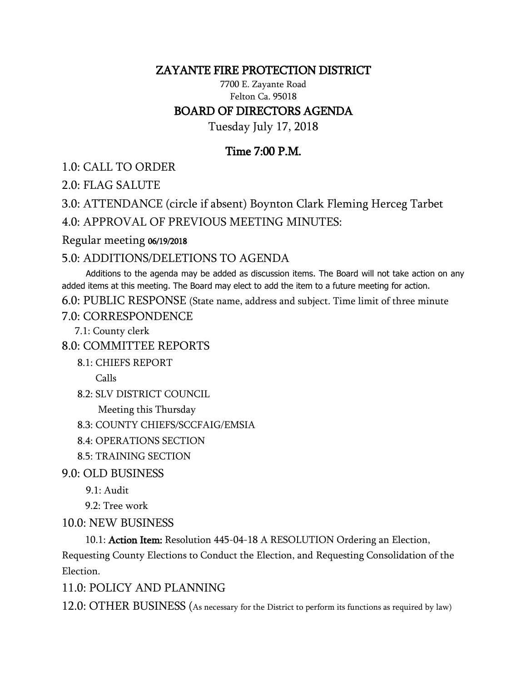### ZAYANTE FIRE PROTECTION DISTRICT

7700 E. Zayante Road Felton Ca. 95018 BOARD OF DIRECTORS AGENDA

Tuesday July 17, 2018

# Time 7:00 P.M.

1.0: CALL TO ORDER

2.0: FLAG SALUTE

3.0: ATTENDANCE (circle if absent) Boynton Clark Fleming Herceg Tarbet

4.0: APPROVAL OF PREVIOUS MEETING MINUTES:

#### Regular meeting 06/19/2018

## 5.0: ADDITIONS/DELETIONS TO AGENDA

 Additions to the agenda may be added as discussion items. The Board will not take action on any added items at this meeting. The Board may elect to add the item to a future meeting for action.

6.0: PUBLIC RESPONSE (State name, address and subject. Time limit of three minute

7.0: CORRESPONDENCE

7.1: County clerk

8.0: COMMITTEE REPORTS

8.1: CHIEFS REPORT

Calls

8.2: SLV DISTRICT COUNCIL

Meeting this Thursday

8.3: COUNTY CHIEFS/SCCFAIG/EMSIA

- 8.4: OPERATIONS SECTION
- 8.5: TRAINING SECTION

9.0: OLD BUSINESS

9.1: Audit

9.2: Tree work

#### 10.0: NEW BUSINESS

10.1: Action Item: Resolution 445-04-18 A RESOLUTION Ordering an Election,

Requesting County Elections to Conduct the Election, and Requesting Consolidation of the Election.

## 11.0: POLICY AND PLANNING

12.0: OTHER BUSINESS (As necessary for the District to perform its functions as required by law)